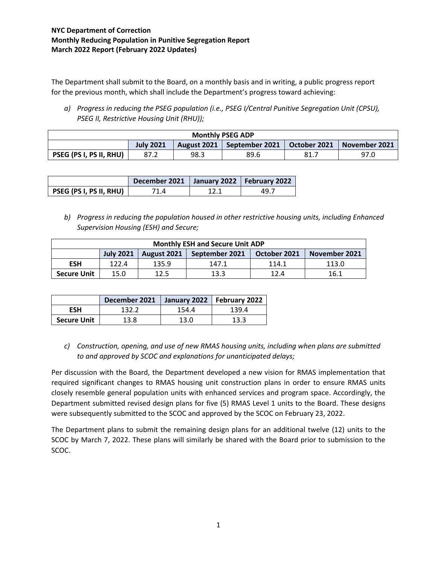## **NYC Department of Correction Monthly Reducing Population in Punitive Segregation Report March 2022 Report (February 2022 Updates)**

The Department shall submit to the Board, on a monthly basis and in writing, a public progress report for the previous month, which shall include the Department's progress toward achieving:

*a) Progress in reducing the PSEG population (i.e., PSEG I/Central Punitive Segregation Unit (CPSU), PSEG II, Restrictive Housing Unit (RHU));*

| <b>Monthly PSEG ADP</b>        |                  |      |                                             |     |               |
|--------------------------------|------------------|------|---------------------------------------------|-----|---------------|
|                                | <b>July 2021</b> |      | August 2021   September 2021   October 2021 |     | November 2021 |
| <b>PSEG (PS I, PS II, RHU)</b> | 87.2             | 98.3 | 89.6                                        | 81. | 97.0          |

|                                | December 2021   January 2022   February 2022 |       |
|--------------------------------|----------------------------------------------|-------|
| <b>PSEG (PS I, PS II, RHU)</b> | ′1.4                                         | 49. . |

*b) Progress in reducing the population housed in other restrictive housing units, including Enhanced Supervision Housing (ESH) and Secure;*

| <b>Monthly ESH and Secure Unit ADP</b> |                  |             |                |              |               |
|----------------------------------------|------------------|-------------|----------------|--------------|---------------|
|                                        | <b>July 2021</b> | August 2021 | September 2021 | October 2021 | November 2021 |
| <b>ESH</b>                             | 122.4            | 135.9       | 147.1          | 114.1        | 113.0         |
| <b>Secure Unit</b>                     | 15.0             | 12.5        | 13.3           | 12.4         | 16.1          |

|                    | December 2021 |       | January 2022   February 2022 |
|--------------------|---------------|-------|------------------------------|
| <b>ESH</b>         | 132.2         | 154.4 | 139.4                        |
| <b>Secure Unit</b> | 13.8          | 13.0  | 13.3                         |

*c) Construction, opening, and use of new RMAS housing units, including when plans are submitted to and approved by SCOC and explanations for unanticipated delays;*

Per discussion with the Board, the Department developed a new vision for RMAS implementation that required significant changes to RMAS housing unit construction plans in order to ensure RMAS units closely resemble general population units with enhanced services and program space. Accordingly, the Department submitted revised design plans for five (5) RMAS Level 1 units to the Board. These designs were subsequently submitted to the SCOC and approved by the SCOC on February 23, 2022.

The Department plans to submit the remaining design plans for an additional twelve (12) units to the SCOC by March 7, 2022. These plans will similarly be shared with the Board prior to submission to the SCOC.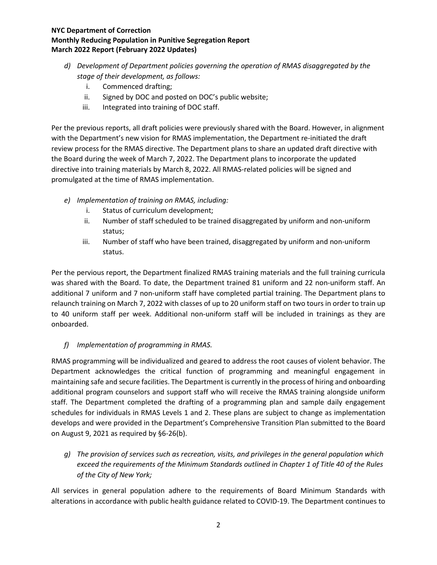## **NYC Department of Correction Monthly Reducing Population in Punitive Segregation Report March 2022 Report (February 2022 Updates)**

- *d) Development of Department policies governing the operation of RMAS disaggregated by the stage of their development, as follows:*
	- i. Commenced drafting;
	- ii. Signed by DOC and posted on DOC's public website;
	- iii. Integrated into training of DOC staff.

Per the previous reports, all draft policies were previously shared with the Board. However, in alignment with the Department's new vision for RMAS implementation, the Department re-initiated the draft review process for the RMAS directive. The Department plans to share an updated draft directive with the Board during the week of March 7, 2022. The Department plans to incorporate the updated directive into training materials by March 8, 2022. All RMAS-related policies will be signed and promulgated at the time of RMAS implementation.

- *e) Implementation of training on RMAS, including:*
	- i. Status of curriculum development;
	- ii. Number of staff scheduled to be trained disaggregated by uniform and non-uniform status;
	- iii. Number of staff who have been trained, disaggregated by uniform and non-uniform status.

Per the pervious report, the Department finalized RMAS training materials and the full training curricula was shared with the Board. To date, the Department trained 81 uniform and 22 non-uniform staff. An additional 7 uniform and 7 non-uniform staff have completed partial training. The Department plans to relaunch training on March 7, 2022 with classes of up to 20 uniform staff on two tours in order to train up to 40 uniform staff per week. Additional non-uniform staff will be included in trainings as they are onboarded.

## *f) Implementation of programming in RMAS.*

RMAS programming will be individualized and geared to address the root causes of violent behavior. The Department acknowledges the critical function of programming and meaningful engagement in maintaining safe and secure facilities. The Department is currently in the process of hiring and onboarding additional program counselors and support staff who will receive the RMAS training alongside uniform staff. The Department completed the drafting of a programming plan and sample daily engagement schedules for individuals in RMAS Levels 1 and 2. These plans are subject to change as implementation develops and were provided in the Department's Comprehensive Transition Plan submitted to the Board on August 9, 2021 as required by §6-26(b).

*g) The provision of services such as recreation, visits, and privileges in the general population which exceed the requirements of the Minimum Standards outlined in Chapter 1 of Title 40 of the Rules of the City of New York;*

All services in general population adhere to the requirements of Board Minimum Standards with alterations in accordance with public health guidance related to COVID-19. The Department continues to